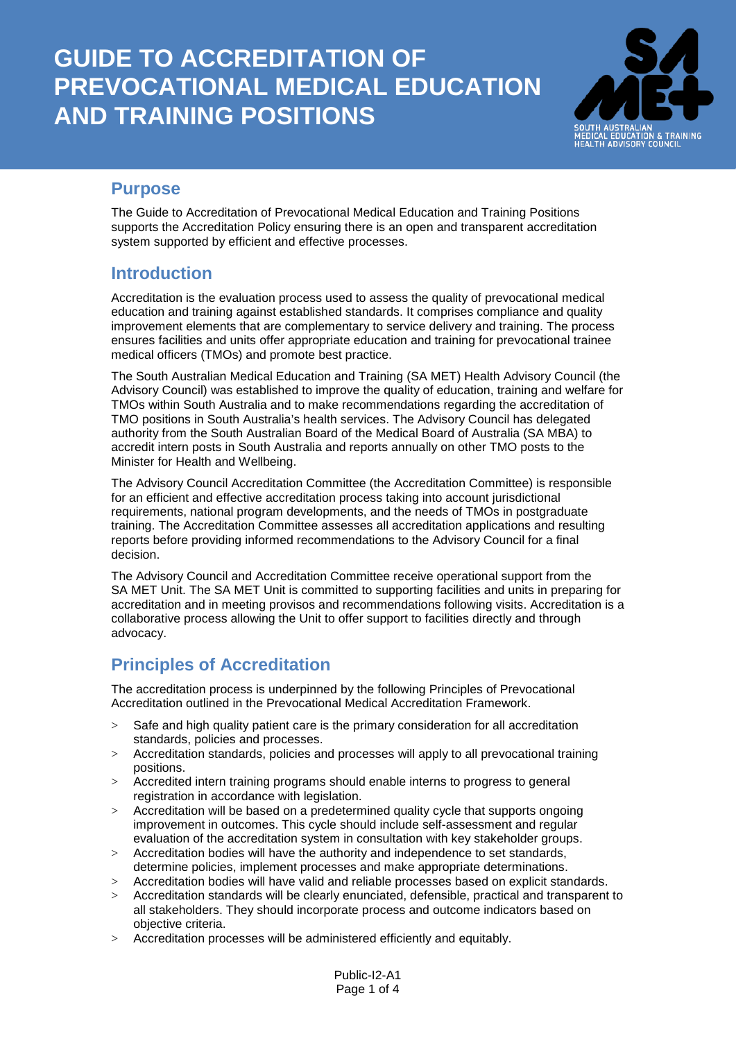

## **Purpose**

The Guide to Accreditation of Prevocational Medical Education and Training Positions supports the Accreditation Policy ensuring there is an open and transparent accreditation system supported by efficient and effective processes.

## **Introduction**

Accreditation is the evaluation process used to assess the quality of prevocational medical education and training against established standards. It comprises compliance and quality improvement elements that are complementary to service delivery and training. The process ensures facilities and units offer appropriate education and training for prevocational trainee medical officers (TMOs) and promote best practice.

The South Australian Medical Education and Training (SA MET) Health Advisory Council (the Advisory Council) was established to improve the quality of education, training and welfare for TMOs within South Australia and to make recommendations regarding the accreditation of TMO positions in South Australia's health services. The Advisory Council has delegated authority from the South Australian Board of the Medical Board of Australia (SA MBA) to accredit intern posts in South Australia and reports annually on other TMO posts to the Minister for Health and Wellbeing.

The Advisory Council Accreditation Committee (the Accreditation Committee) is responsible for an efficient and effective accreditation process taking into account jurisdictional requirements, national program developments, and the needs of TMOs in postgraduate training. The Accreditation Committee assesses all accreditation applications and resulting reports before providing informed recommendations to the Advisory Council for a final decision.

The Advisory Council and Accreditation Committee receive operational support from the SA MET Unit. The SA MET Unit is committed to supporting facilities and units in preparing for accreditation and in meeting provisos and recommendations following visits. Accreditation is a collaborative process allowing the Unit to offer support to facilities directly and through advocacy.

# **Principles of Accreditation**

The accreditation process is underpinned by the following Principles of Prevocational Accreditation outlined in the Prevocational Medical Accreditation Framework.

- > Safe and high quality patient care is the primary consideration for all accreditation standards, policies and processes.
- > Accreditation standards, policies and processes will apply to all prevocational training positions.
- > Accredited intern training programs should enable interns to progress to general registration in accordance with legislation.
- > Accreditation will be based on a predetermined quality cycle that supports ongoing improvement in outcomes. This cycle should include self-assessment and regular evaluation of the accreditation system in consultation with key stakeholder groups.
- > Accreditation bodies will have the authority and independence to set standards, determine policies, implement processes and make appropriate determinations.
- > Accreditation bodies will have valid and reliable processes based on explicit standards.
- Accreditation standards will be clearly enunciated, defensible, practical and transparent to all stakeholders. They should incorporate process and outcome indicators based on objective criteria.
- > Accreditation processes will be administered efficiently and equitably.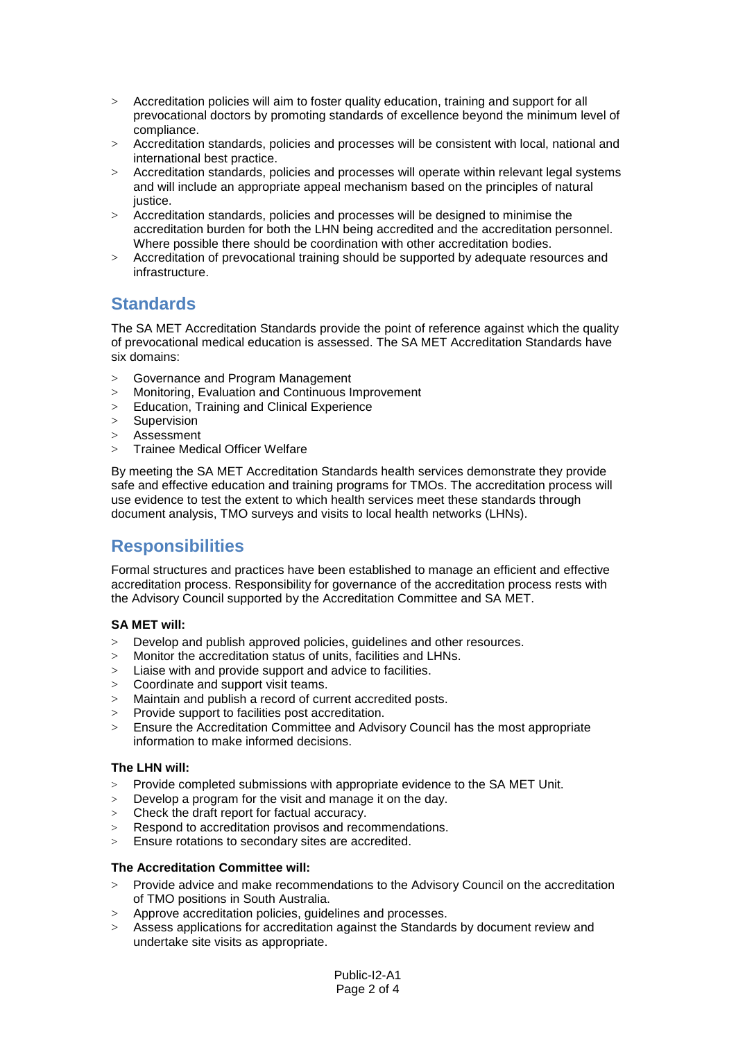- > Accreditation policies will aim to foster quality education, training and support for all prevocational doctors by promoting standards of excellence beyond the minimum level of compliance.
- > Accreditation standards, policies and processes will be consistent with local, national and international best practice.
- > Accreditation standards, policies and processes will operate within relevant legal systems and will include an appropriate appeal mechanism based on the principles of natural justice.
- > Accreditation standards, policies and processes will be designed to minimise the accreditation burden for both the LHN being accredited and the accreditation personnel. Where possible there should be coordination with other accreditation bodies.
- > Accreditation of prevocational training should be supported by adequate resources and infrastructure.

## **Standards**

The SA MET Accreditation Standards provide the point of reference against which the quality of prevocational medical education is assessed. The SA MET Accreditation Standards have six domains:

- > Governance and Program Management
- > Monitoring, Evaluation and Continuous Improvement
- > Education, Training and Clinical Experience
- > Supervision
- > Assessment
- > Trainee Medical Officer Welfare

By meeting the SA MET Accreditation Standards health services demonstrate they provide safe and effective education and training programs for TMOs. The accreditation process will use evidence to test the extent to which health services meet these standards through document analysis, TMO surveys and visits to local health networks (LHNs).

## **Responsibilities**

Formal structures and practices have been established to manage an efficient and effective accreditation process. Responsibility for governance of the accreditation process rests with the Advisory Council supported by the Accreditation Committee and SA MET.

### **SA MET will:**

- > Develop and publish approved policies, guidelines and other resources.
- > Monitor the accreditation status of units, facilities and LHNs.
- $>$  Liaise with and provide support and advice to facilities.
- > Coordinate and support visit teams.
- > Maintain and publish a record of current accredited posts.
- > Provide support to facilities post accreditation.<br>> Ensure the Accreditation Committee and Advis
- > Ensure the Accreditation Committee and Advisory Council has the most appropriate information to make informed decisions.

### **The LHN will:**

- > Provide completed submissions with appropriate evidence to the SA MET Unit.
- $>$  Develop a program for the visit and manage it on the day.
- > Check the draft report for factual accuracy.
- > Respond to accreditation provisos and recommendations.
- > Ensure rotations to secondary sites are accredited.

### **The Accreditation Committee will:**

- > Provide advice and make recommendations to the Advisory Council on the accreditation of TMO positions in South Australia.
- > Approve accreditation policies, guidelines and processes.
- > Assess applications for accreditation against the Standards by document review and undertake site visits as appropriate.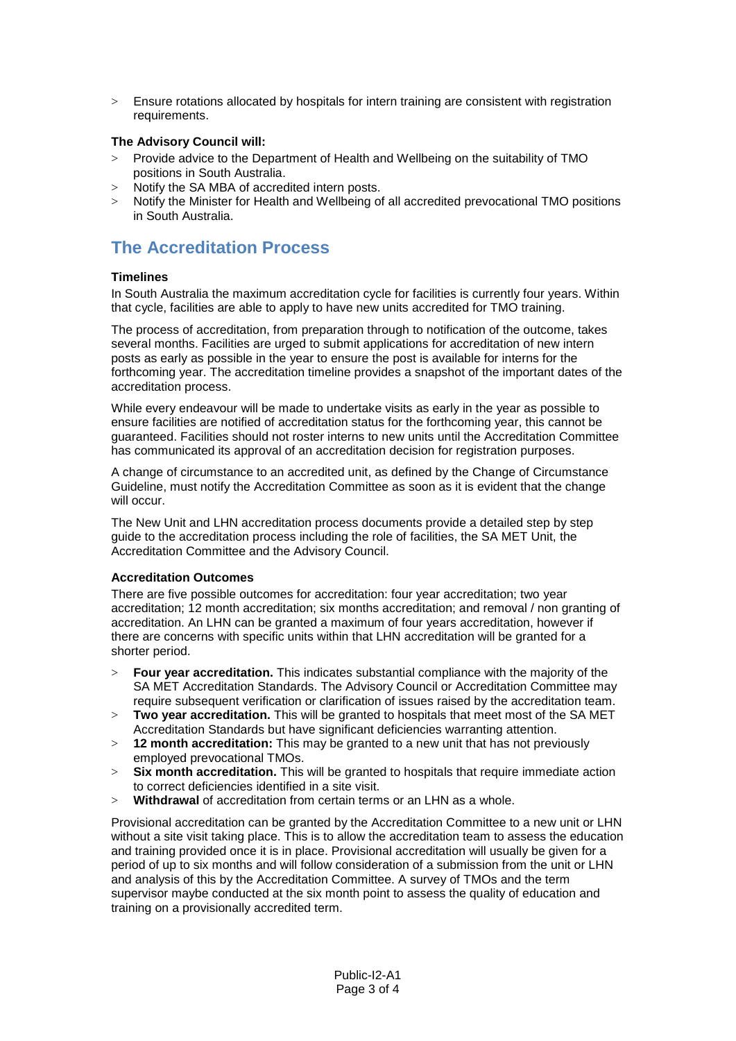> Ensure rotations allocated by hospitals for intern training are consistent with registration requirements.

### **The Advisory Council will:**

- > Provide advice to the Department of Health and Wellbeing on the suitability of TMO positions in South Australia.
- > Notify the SA MBA of accredited intern posts.
- > Notify the Minister for Health and Wellbeing of all accredited prevocational TMO positions in South Australia.

# **The Accreditation Process**

### **Timelines**

In South Australia the maximum accreditation cycle for facilities is currently four years. Within that cycle, facilities are able to apply to have new units accredited for TMO training.

The process of accreditation, from preparation through to notification of the outcome, takes several months. Facilities are urged to submit applications for accreditation of new intern posts as early as possible in the year to ensure the post is available for interns for the forthcoming year. The accreditation timeline provides a snapshot of the important dates of the accreditation process.

While every endeavour will be made to undertake visits as early in the year as possible to ensure facilities are notified of accreditation status for the forthcoming year, this cannot be guaranteed. Facilities should not roster interns to new units until the Accreditation Committee has communicated its approval of an accreditation decision for registration purposes.

A change of circumstance to an accredited unit, as defined by the Change of Circumstance Guideline, must notify the Accreditation Committee as soon as it is evident that the change will occur.

The New Unit and LHN accreditation process documents provide a detailed step by step guide to the accreditation process including the role of facilities, the SA MET Unit, the Accreditation Committee and the Advisory Council.

### **Accreditation Outcomes**

There are five possible outcomes for accreditation: four year accreditation; two year accreditation; 12 month accreditation; six months accreditation; and removal / non granting of accreditation. An LHN can be granted a maximum of four years accreditation, however if there are concerns with specific units within that LHN accreditation will be granted for a shorter period.

- > **Four year accreditation.** This indicates substantial compliance with the majority of the SA MET Accreditation Standards. The Advisory Council or Accreditation Committee may require subsequent verification or clarification of issues raised by the accreditation team.
- > **Two year accreditation.** This will be granted to hospitals that meet most of the SA MET Accreditation Standards but have significant deficiencies warranting attention.
- > **12 month accreditation:** This may be granted to a new unit that has not previously employed prevocational TMOs.
- > **Six month accreditation.** This will be granted to hospitals that require immediate action to correct deficiencies identified in a site visit.
- > **Withdrawal** of accreditation from certain terms or an LHN as a whole.

Provisional accreditation can be granted by the Accreditation Committee to a new unit or LHN without a site visit taking place. This is to allow the accreditation team to assess the education and training provided once it is in place. Provisional accreditation will usually be given for a period of up to six months and will follow consideration of a submission from the unit or LHN and analysis of this by the Accreditation Committee. A survey of TMOs and the term supervisor maybe conducted at the six month point to assess the quality of education and training on a provisionally accredited term.